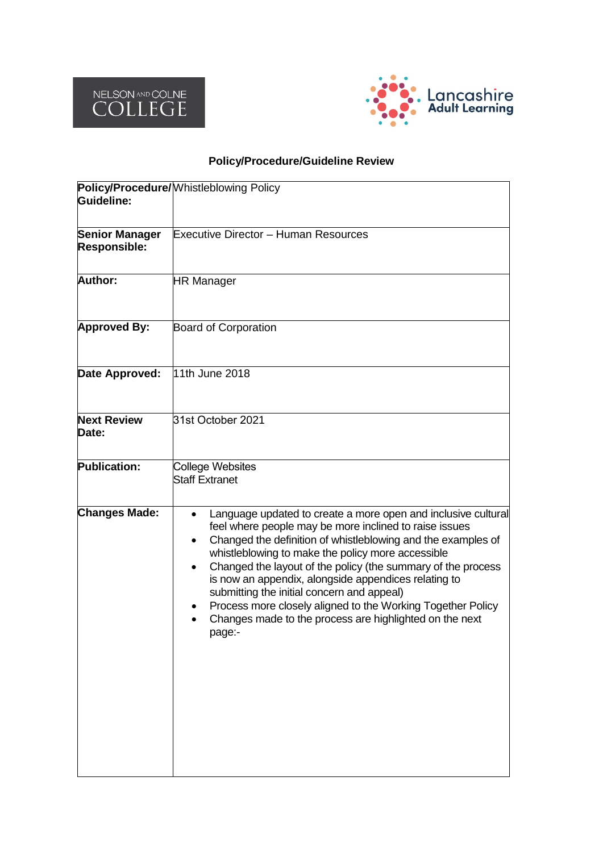



# **Policy/Procedure/Guideline Review**

| Guideline:                            | Policy/Procedure/ Whistleblowing Policy                                                                                                                                                                                                                                                                                                                                                                                                                                                                                                                |  |  |  |
|---------------------------------------|--------------------------------------------------------------------------------------------------------------------------------------------------------------------------------------------------------------------------------------------------------------------------------------------------------------------------------------------------------------------------------------------------------------------------------------------------------------------------------------------------------------------------------------------------------|--|--|--|
| <b>Senior Manager</b><br>Responsible: | <b>Executive Director - Human Resources</b>                                                                                                                                                                                                                                                                                                                                                                                                                                                                                                            |  |  |  |
| <b>Author:</b>                        | <b>HR Manager</b>                                                                                                                                                                                                                                                                                                                                                                                                                                                                                                                                      |  |  |  |
| <b>Approved By:</b>                   | <b>Board of Corporation</b>                                                                                                                                                                                                                                                                                                                                                                                                                                                                                                                            |  |  |  |
| Date Approved:                        | 11th June 2018                                                                                                                                                                                                                                                                                                                                                                                                                                                                                                                                         |  |  |  |
| <b>Next Review</b><br>Date:           | 31st October 2021                                                                                                                                                                                                                                                                                                                                                                                                                                                                                                                                      |  |  |  |
| <b>Publication:</b>                   | College Websites<br><b>Staff Extranet</b>                                                                                                                                                                                                                                                                                                                                                                                                                                                                                                              |  |  |  |
| <b>Changes Made:</b>                  | Language updated to create a more open and inclusive cultural<br>feel where people may be more inclined to raise issues<br>Changed the definition of whistleblowing and the examples of<br>whistleblowing to make the policy more accessible<br>Changed the layout of the policy (the summary of the process<br>is now an appendix, alongside appendices relating to<br>submitting the initial concern and appeal)<br>Process more closely aligned to the Working Together Policy<br>Changes made to the process are highlighted on the next<br>page:- |  |  |  |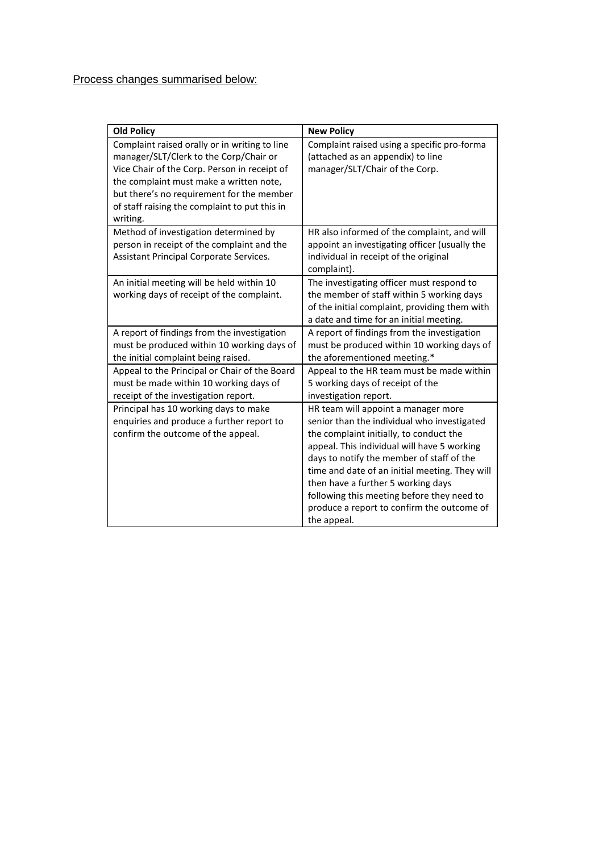| <b>Old Policy</b>                                                                                                                                                                                                                                                                            | <b>New Policy</b>                                                                                                                                                                                                                                                                                                                                                                                                            |
|----------------------------------------------------------------------------------------------------------------------------------------------------------------------------------------------------------------------------------------------------------------------------------------------|------------------------------------------------------------------------------------------------------------------------------------------------------------------------------------------------------------------------------------------------------------------------------------------------------------------------------------------------------------------------------------------------------------------------------|
| Complaint raised orally or in writing to line<br>manager/SLT/Clerk to the Corp/Chair or<br>Vice Chair of the Corp. Person in receipt of<br>the complaint must make a written note,<br>but there's no requirement for the member<br>of staff raising the complaint to put this in<br>writing. | Complaint raised using a specific pro-forma<br>(attached as an appendix) to line<br>manager/SLT/Chair of the Corp.                                                                                                                                                                                                                                                                                                           |
| Method of investigation determined by<br>person in receipt of the complaint and the<br>Assistant Principal Corporate Services.                                                                                                                                                               | HR also informed of the complaint, and will<br>appoint an investigating officer (usually the<br>individual in receipt of the original<br>complaint).                                                                                                                                                                                                                                                                         |
| An initial meeting will be held within 10<br>working days of receipt of the complaint.                                                                                                                                                                                                       | The investigating officer must respond to<br>the member of staff within 5 working days<br>of the initial complaint, providing them with<br>a date and time for an initial meeting.                                                                                                                                                                                                                                           |
| A report of findings from the investigation<br>must be produced within 10 working days of<br>the initial complaint being raised.                                                                                                                                                             | A report of findings from the investigation<br>must be produced within 10 working days of<br>the aforementioned meeting.*                                                                                                                                                                                                                                                                                                    |
| Appeal to the Principal or Chair of the Board<br>must be made within 10 working days of<br>receipt of the investigation report.                                                                                                                                                              | Appeal to the HR team must be made within<br>5 working days of receipt of the<br>investigation report.                                                                                                                                                                                                                                                                                                                       |
| Principal has 10 working days to make<br>enquiries and produce a further report to<br>confirm the outcome of the appeal.                                                                                                                                                                     | HR team will appoint a manager more<br>senior than the individual who investigated<br>the complaint initially, to conduct the<br>appeal. This individual will have 5 working<br>days to notify the member of staff of the<br>time and date of an initial meeting. They will<br>then have a further 5 working days<br>following this meeting before they need to<br>produce a report to confirm the outcome of<br>the appeal. |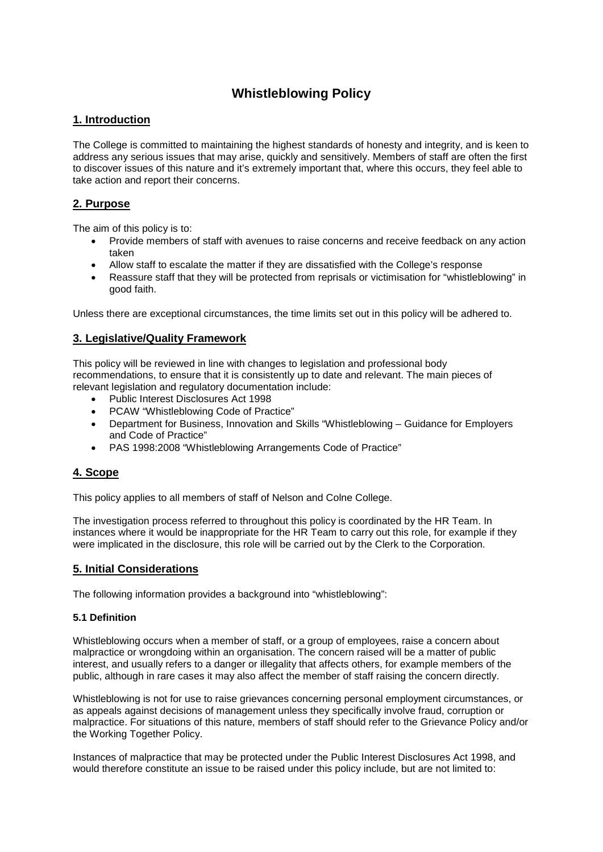# **Whistleblowing Policy**

#### **1. Introduction**

The College is committed to maintaining the highest standards of honesty and integrity, and is keen to address any serious issues that may arise, quickly and sensitively. Members of staff are often the first to discover issues of this nature and it's extremely important that, where this occurs, they feel able to take action and report their concerns.

#### **2. Purpose**

The aim of this policy is to:

- Provide members of staff with avenues to raise concerns and receive feedback on any action taken
- Allow staff to escalate the matter if they are dissatisfied with the College's response
- Reassure staff that they will be protected from reprisals or victimisation for "whistleblowing" in good faith.

Unless there are exceptional circumstances, the time limits set out in this policy will be adhered to.

#### **3. Legislative/Quality Framework**

This policy will be reviewed in line with changes to legislation and professional body recommendations, to ensure that it is consistently up to date and relevant. The main pieces of relevant legislation and regulatory documentation include:

- Public Interest Disclosures Act 1998
- PCAW "Whistleblowing Code of Practice"
- Department for Business, Innovation and Skills "Whistleblowing Guidance for Employers and Code of Practice"
- PAS 1998:2008 "Whistleblowing Arrangements Code of Practice"

### **4. Scope**

This policy applies to all members of staff of Nelson and Colne College.

The investigation process referred to throughout this policy is coordinated by the HR Team. In instances where it would be inappropriate for the HR Team to carry out this role, for example if they were implicated in the disclosure, this role will be carried out by the Clerk to the Corporation.

#### **5. Initial Considerations**

The following information provides a background into "whistleblowing":

#### **5.1 Definition**

Whistleblowing occurs when a member of staff, or a group of employees, raise a concern about malpractice or wrongdoing within an organisation. The concern raised will be a matter of public interest, and usually refers to a danger or illegality that affects others, for example members of the public, although in rare cases it may also affect the member of staff raising the concern directly.

Whistleblowing is not for use to raise grievances concerning personal employment circumstances, or as appeals against decisions of management unless they specifically involve fraud, corruption or malpractice. For situations of this nature, members of staff should refer to the Grievance Policy and/or the Working Together Policy.

Instances of malpractice that may be protected under the Public Interest Disclosures Act 1998, and would therefore constitute an issue to be raised under this policy include, but are not limited to: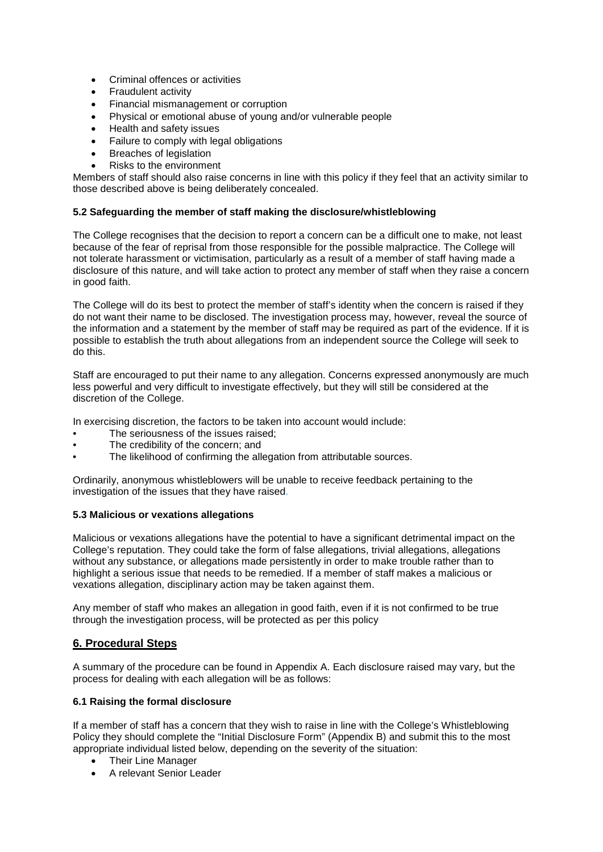- Criminal offences or activities
- Fraudulent activity
- Financial mismanagement or corruption
- Physical or emotional abuse of young and/or vulnerable people
- Health and safety issues<br>• Failure to comply with lea
- Failure to comply with legal obligations
- Breaches of legislation
- Risks to the environment

Members of staff should also raise concerns in line with this policy if they feel that an activity similar to those described above is being deliberately concealed.

#### **5.2 Safeguarding the member of staff making the disclosure/whistleblowing**

The College recognises that the decision to report a concern can be a difficult one to make, not least because of the fear of reprisal from those responsible for the possible malpractice. The College will not tolerate harassment or victimisation, particularly as a result of a member of staff having made a disclosure of this nature, and will take action to protect any member of staff when they raise a concern in good faith.

The College will do its best to protect the member of staff's identity when the concern is raised if they do not want their name to be disclosed. The investigation process may, however, reveal the source of the information and a statement by the member of staff may be required as part of the evidence. If it is possible to establish the truth about allegations from an independent source the College will seek to do this.

Staff are encouraged to put their name to any allegation. Concerns expressed anonymously are much less powerful and very difficult to investigate effectively, but they will still be considered at the discretion of the College.

In exercising discretion, the factors to be taken into account would include:

- The seriousness of the issues raised;
- The credibility of the concern; and
- The likelihood of confirming the allegation from attributable sources.

Ordinarily, anonymous whistleblowers will be unable to receive feedback pertaining to the investigation of the issues that they have raised.

#### **5.3 Malicious or vexations allegations**

Malicious or vexations allegations have the potential to have a significant detrimental impact on the College's reputation. They could take the form of false allegations, trivial allegations, allegations without any substance, or allegations made persistently in order to make trouble rather than to highlight a serious issue that needs to be remedied. If a member of staff makes a malicious or vexations allegation, disciplinary action may be taken against them.

Any member of staff who makes an allegation in good faith, even if it is not confirmed to be true through the investigation process, will be protected as per this policy

### **6. Procedural Steps**

A summary of the procedure can be found in Appendix A. Each disclosure raised may vary, but the process for dealing with each allegation will be as follows:

#### **6.1 Raising the formal disclosure**

If a member of staff has a concern that they wish to raise in line with the College's Whistleblowing Policy they should complete the "Initial Disclosure Form" (Appendix B) and submit this to the most appropriate individual listed below, depending on the severity of the situation:

- Their Line Manager
- A relevant Senior Leader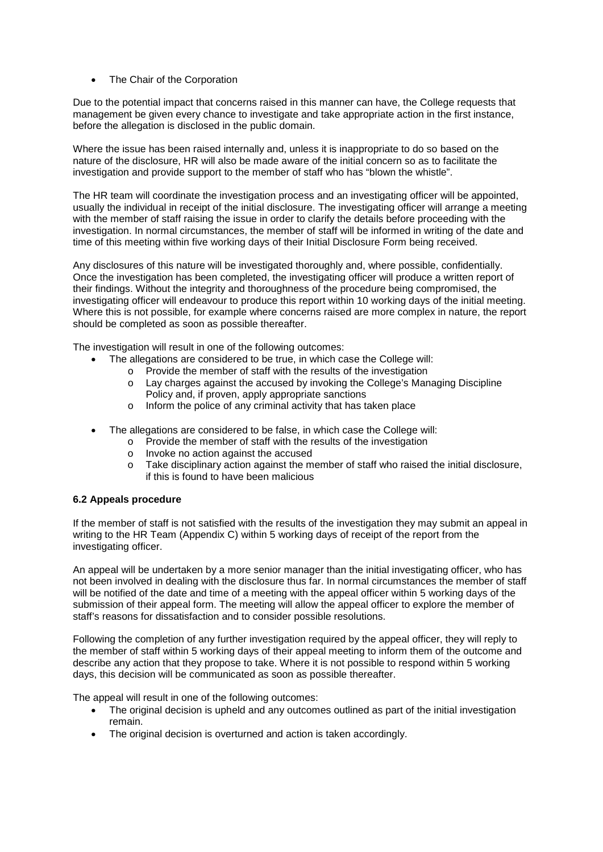• The Chair of the Corporation

Due to the potential impact that concerns raised in this manner can have, the College requests that management be given every chance to investigate and take appropriate action in the first instance, before the allegation is disclosed in the public domain.

Where the issue has been raised internally and, unless it is inappropriate to do so based on the nature of the disclosure, HR will also be made aware of the initial concern so as to facilitate the investigation and provide support to the member of staff who has "blown the whistle".

The HR team will coordinate the investigation process and an investigating officer will be appointed, usually the individual in receipt of the initial disclosure. The investigating officer will arrange a meeting with the member of staff raising the issue in order to clarify the details before proceeding with the investigation. In normal circumstances, the member of staff will be informed in writing of the date and time of this meeting within five working days of their Initial Disclosure Form being received.

Any disclosures of this nature will be investigated thoroughly and, where possible, confidentially. Once the investigation has been completed, the investigating officer will produce a written report of their findings. Without the integrity and thoroughness of the procedure being compromised, the investigating officer will endeavour to produce this report within 10 working days of the initial meeting. Where this is not possible, for example where concerns raised are more complex in nature, the report should be completed as soon as possible thereafter.

The investigation will result in one of the following outcomes:

- The allegations are considered to be true, in which case the College will:
	- o Provide the member of staff with the results of the investigation
		- Lay charges against the accused by invoking the College's Managing Discipline Policy and, if proven, apply appropriate sanctions
	- o Inform the police of any criminal activity that has taken place
- The allegations are considered to be false, in which case the College will:
	- o Provide the member of staff with the results of the investigation
	- o Invoke no action against the accused
	- o Take disciplinary action against the member of staff who raised the initial disclosure, if this is found to have been malicious

#### **6.2 Appeals procedure**

If the member of staff is not satisfied with the results of the investigation they may submit an appeal in writing to the HR Team (Appendix C) within 5 working days of receipt of the report from the investigating officer.

An appeal will be undertaken by a more senior manager than the initial investigating officer, who has not been involved in dealing with the disclosure thus far. In normal circumstances the member of staff will be notified of the date and time of a meeting with the appeal officer within 5 working days of the submission of their appeal form. The meeting will allow the appeal officer to explore the member of staff's reasons for dissatisfaction and to consider possible resolutions.

Following the completion of any further investigation required by the appeal officer, they will reply to the member of staff within 5 working days of their appeal meeting to inform them of the outcome and describe any action that they propose to take. Where it is not possible to respond within 5 working days, this decision will be communicated as soon as possible thereafter.

The appeal will result in one of the following outcomes:

- The original decision is upheld and any outcomes outlined as part of the initial investigation remain.
- The original decision is overturned and action is taken accordingly.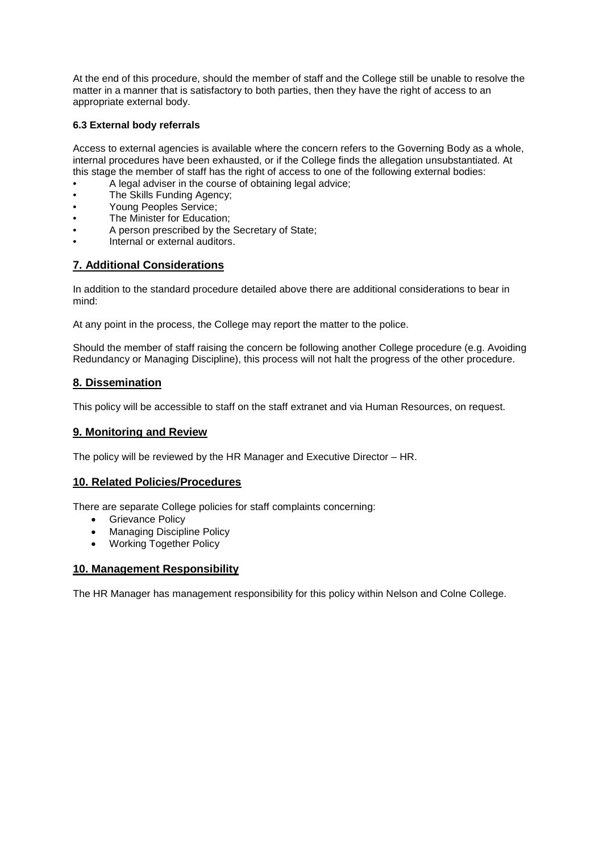At the end of this procedure, should the member of staff and the College still be unable to resolve the matter in a manner that is satisfactory to both parties, then they have the right of access to an appropriate external body.

#### **6.3 External body referrals**

Access to external agencies is available where the concern refers to the Governing Body as a whole, internal procedures have been exhausted, or if the College finds the allegation unsubstantiated. At this stage the member of staff has the right of access to one of the following external bodies:

- A legal adviser in the course of obtaining legal advice:
- The Skills Funding Agency;
- Young Peoples Service;
- The Minister for Education;
- A person prescribed by the Secretary of State;
- Internal or external auditors.

### **7. Additional Considerations**

In addition to the standard procedure detailed above there are additional considerations to bear in mind:

At any point in the process, the College may report the matter to the police.

Should the member of staff raising the concern be following another College procedure (e.g. Avoiding Redundancy or Managing Discipline), this process will not halt the progress of the other procedure.

### **8. Dissemination**

This policy will be accessible to staff on the staff extranet and via Human Resources, on request.

#### **9. Monitoring and Review**

The policy will be reviewed by the HR Manager and Executive Director – HR.

### **10. Related Policies/Procedures**

There are separate College policies for staff complaints concerning:

- Grievance Policy
- Managing Discipline Policy
- Working Together Policy

#### **10. Management Responsibility**

The HR Manager has management responsibility for this policy within Nelson and Colne College.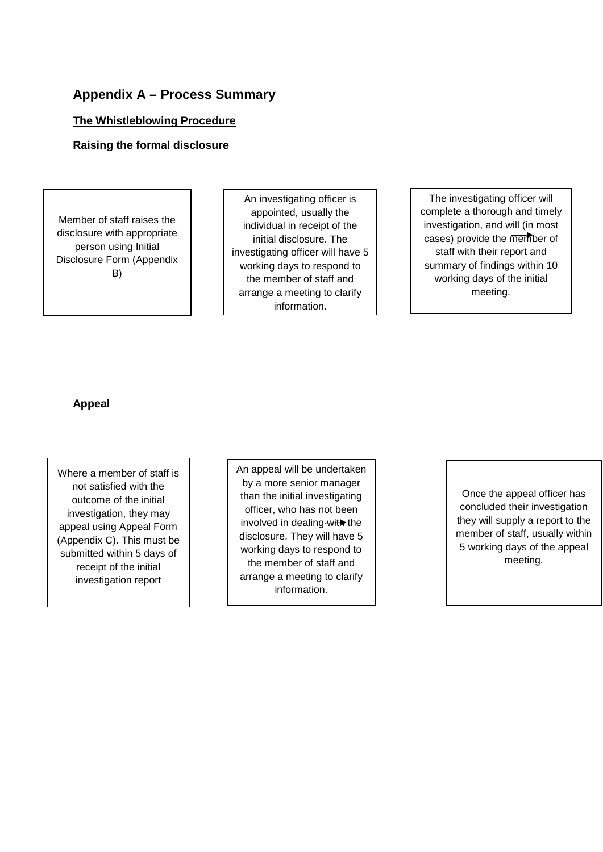# **Appendix A – Process Summary**

### **The Whistleblowing Procedure**

### **Raising the formal disclosure**

Member of staff raises the disclosure with appropriate person using Initial Disclosure Form (Appendix B)

An investigating officer is appointed, usually the individual in receipt of the initial disclosure. The investigating officer will have 5 working days to respond to the member of staff and arrange a meeting to clarify information.

The investigating officer will complete a thorough and timely investigation, and will (in most cases) provide the member of staff with their report and summary of findings within 10 working days of the initial meeting.

### **Appeal**

Where a member of staff is not satisfied with the outcome of the initial investigation, they may appeal using Appeal Form (Appendix C). This must be submitted within 5 days of receipt of the initial investigation report

An appeal will be undertaken by a more senior manager than the initial investigating officer, who has not been involved in dealing with the disclosure. They will have 5 working days to respond to the member of staff and arrange a meeting to clarify information.

Once the appeal officer has concluded their investigation they will supply a report to the member of staff, usually within 5 working days of the appeal meeting.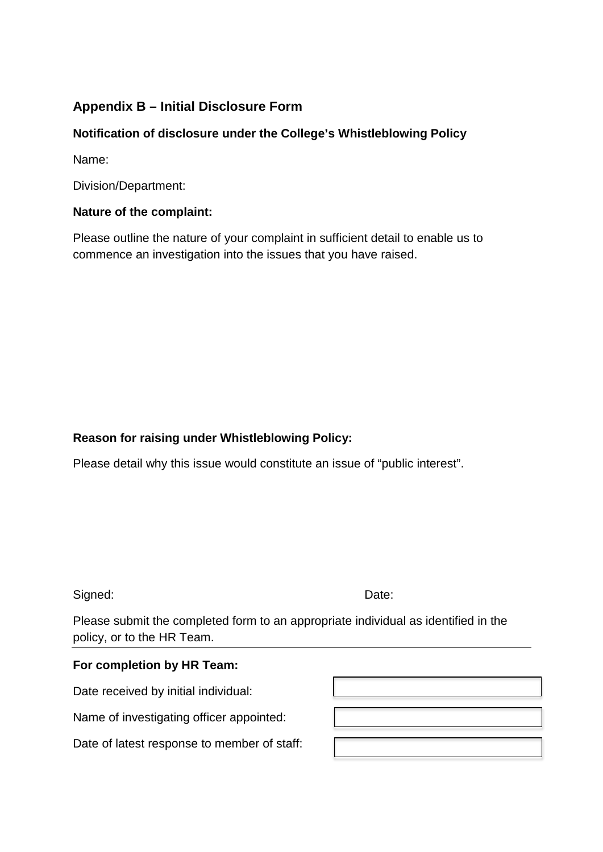# **Appendix B – Initial Disclosure Form**

# **Notification of disclosure under the College's Whistleblowing Policy**

Name:

Division/Department:

## **Nature of the complaint:**

Please outline the nature of your complaint in sufficient detail to enable us to commence an investigation into the issues that you have raised.

# **Reason for raising under Whistleblowing Policy:**

Please detail why this issue would constitute an issue of "public interest".

Signed: Date:

Please submit the completed form to an appropriate individual as identified in the policy, or to the HR Team.

### **For completion by HR Team:**

Date received by initial individual:

Name of investigating officer appointed:

Date of latest response to member of staff: